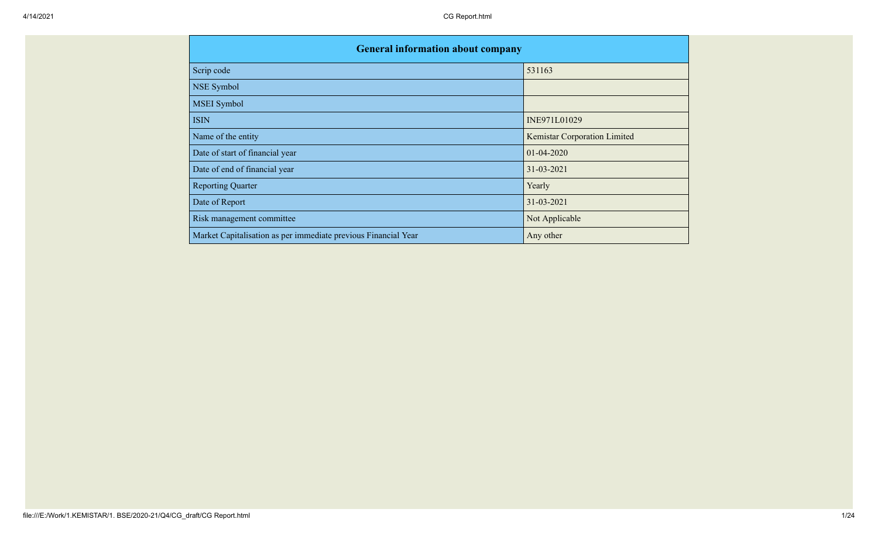| <b>General information about company</b>                       |                              |
|----------------------------------------------------------------|------------------------------|
| Scrip code                                                     | 531163                       |
| NSE Symbol                                                     |                              |
| <b>MSEI</b> Symbol                                             |                              |
| <b>ISIN</b>                                                    | INE971L01029                 |
| Name of the entity                                             | Kemistar Corporation Limited |
| Date of start of financial year                                | $01 - 04 - 2020$             |
| Date of end of financial year                                  | 31-03-2021                   |
| <b>Reporting Quarter</b>                                       | Yearly                       |
| Date of Report                                                 | 31-03-2021                   |
| Risk management committee                                      | Not Applicable               |
| Market Capitalisation as per immediate previous Financial Year | Any other                    |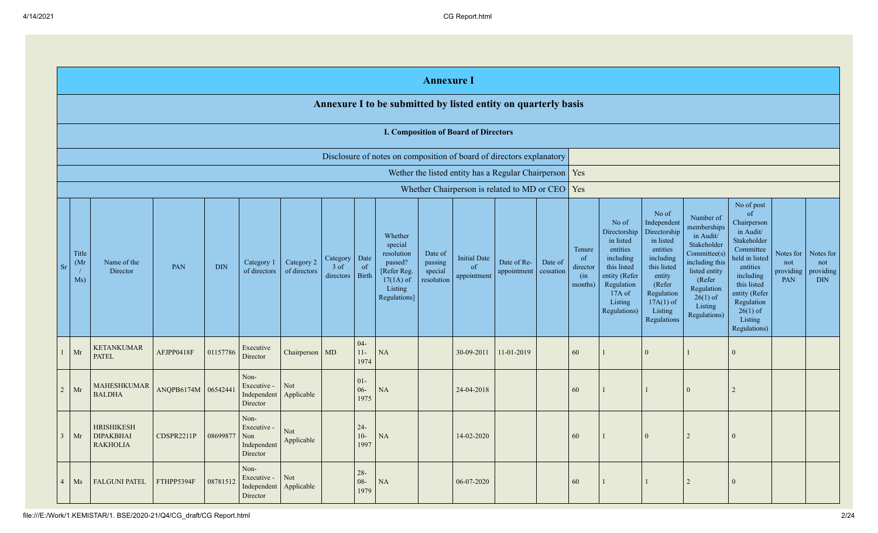|                |                      | <b>Annexure I</b>                                              |                     |            |                                                       |                            |                                 |                            |                                                                                                      |                                             |                                                          |                            |                      |                                                       |                                                                                                                                                |                                                                                                                                                                      |                                                                                                                                                                          |                                                                                                                                                                                                            |                                      |                                             |
|----------------|----------------------|----------------------------------------------------------------|---------------------|------------|-------------------------------------------------------|----------------------------|---------------------------------|----------------------------|------------------------------------------------------------------------------------------------------|---------------------------------------------|----------------------------------------------------------|----------------------------|----------------------|-------------------------------------------------------|------------------------------------------------------------------------------------------------------------------------------------------------|----------------------------------------------------------------------------------------------------------------------------------------------------------------------|--------------------------------------------------------------------------------------------------------------------------------------------------------------------------|------------------------------------------------------------------------------------------------------------------------------------------------------------------------------------------------------------|--------------------------------------|---------------------------------------------|
|                |                      | Annexure I to be submitted by listed entity on quarterly basis |                     |            |                                                       |                            |                                 |                            |                                                                                                      |                                             |                                                          |                            |                      |                                                       |                                                                                                                                                |                                                                                                                                                                      |                                                                                                                                                                          |                                                                                                                                                                                                            |                                      |                                             |
|                |                      |                                                                |                     |            |                                                       |                            |                                 |                            |                                                                                                      |                                             | <b>I. Composition of Board of Directors</b>              |                            |                      |                                                       |                                                                                                                                                |                                                                                                                                                                      |                                                                                                                                                                          |                                                                                                                                                                                                            |                                      |                                             |
|                |                      |                                                                |                     |            |                                                       |                            |                                 |                            | Disclosure of notes on composition of board of directors explanatory                                 |                                             |                                                          |                            |                      |                                                       |                                                                                                                                                |                                                                                                                                                                      |                                                                                                                                                                          |                                                                                                                                                                                                            |                                      |                                             |
|                |                      |                                                                |                     |            |                                                       |                            |                                 |                            |                                                                                                      |                                             | Wether the listed entity has a Regular Chairperson   Yes |                            |                      |                                                       |                                                                                                                                                |                                                                                                                                                                      |                                                                                                                                                                          |                                                                                                                                                                                                            |                                      |                                             |
|                |                      |                                                                |                     |            |                                                       |                            |                                 |                            |                                                                                                      |                                             | Whether Chairperson is related to MD or CEO   Yes        |                            |                      |                                                       |                                                                                                                                                |                                                                                                                                                                      |                                                                                                                                                                          |                                                                                                                                                                                                            |                                      |                                             |
| <sub>Sr</sub>  | Title<br>(Mr)<br>Ms) | Name of the<br>Director                                        | PAN                 | <b>DIN</b> | Category 1<br>of directors                            | Category 2<br>of directors | Category<br>$3$ of<br>directors | Date<br>of<br><b>Birth</b> | Whether<br>special<br>resolution<br>passed?<br>[Refer Reg.<br>$17(1A)$ of<br>Listing<br>Regulations] | Date of<br>passing<br>special<br>resolution | <b>Initial Date</b><br>of<br>appointment                 | Date of Re-<br>appointment | Date of<br>cessation | Tenure<br><sub>of</sub><br>director<br>(in<br>months) | No of<br>Directorship<br>in listed<br>entities<br>including<br>this listed<br>entity (Refer<br>Regulation<br>17A of<br>Listing<br>Regulations) | No of<br>Independent<br>Directorship<br>in listed<br>entities<br>including<br>this listed<br>entity<br>(Refer<br>Regulation<br>$17A(1)$ of<br>Listing<br>Regulations | Number of<br>memberships<br>in Audit/<br>Stakeholder<br>Committee(s)<br>including this<br>listed entity<br>(Refer<br>Regulation<br>$26(1)$ of<br>Listing<br>Regulations) | No of post<br>of<br>Chairperson<br>in Audit/<br>Stakeholder<br>Committee<br>held in listed<br>entities<br>including<br>this listed<br>entity (Refer<br>Regulation<br>$26(1)$ of<br>Listing<br>Regulations) | Notes for<br>not<br>providing<br>PAN | Notes for<br>not<br>providing<br><b>DIN</b> |
| $\mathbf{1}$   | Mr                   | <b>KETANKUMAR</b><br><b>PATEL</b>                              | AFJPP0418F          | 01157786   | Executive<br>Director                                 | Chairperson MD             |                                 | $04 -$<br>$11-$<br>1974    | NA                                                                                                   |                                             | 30-09-2011                                               | 11-01-2019                 |                      | 60                                                    |                                                                                                                                                | $\Omega$                                                                                                                                                             |                                                                                                                                                                          | $\mathbf{0}$                                                                                                                                                                                               |                                      |                                             |
|                | Mr<br>$\overline{2}$ | <b>MAHESHKUMAR</b><br><b>BALDHA</b>                            | ANQPB6174M 06542441 |            | Non-<br>Executive -<br>Independent<br>Director        | Not<br>Applicable          |                                 | $01-$<br>$06 -$<br>1975    | <b>NA</b>                                                                                            |                                             | 24-04-2018                                               |                            |                      | 60                                                    |                                                                                                                                                |                                                                                                                                                                      | $\Omega$                                                                                                                                                                 | $\overline{2}$                                                                                                                                                                                             |                                      |                                             |
|                | Mr<br>$\mathfrak{Z}$ | <b>HRISHIKESH</b><br><b>DIPAKBHAI</b><br><b>RAKHOLIA</b>       | CDSPR2211P          | 08699877   | Non-<br>Executive -<br>Non<br>Independent<br>Director | <b>Not</b><br>Applicable   |                                 | $24 -$<br>$10-$<br>1997    | NA                                                                                                   |                                             | 14-02-2020                                               |                            |                      | 60                                                    |                                                                                                                                                | $\Omega$                                                                                                                                                             | 2                                                                                                                                                                        | $\Omega$                                                                                                                                                                                                   |                                      |                                             |
| $\overline{4}$ | Ms                   | <b>FALGUNI PATEL</b>                                           | FTHPP5394F          | 08781512   | Non-<br>Executive -<br>Independent<br>Director        | <b>Not</b><br>Applicable   |                                 | $28 -$<br>$08 -$<br>1979   | <b>NA</b>                                                                                            |                                             | 06-07-2020                                               |                            |                      | 60                                                    |                                                                                                                                                |                                                                                                                                                                      | 2                                                                                                                                                                        | $\overline{0}$                                                                                                                                                                                             |                                      |                                             |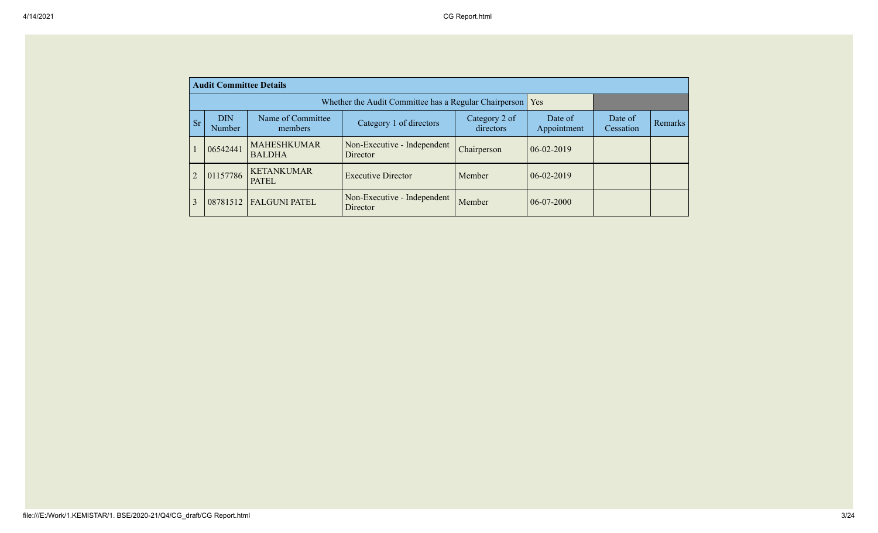|                                                   | <b>Audit Committee Details</b>                                                                                       |                                                       |                                         |             |                  |                      |         |  |  |  |  |
|---------------------------------------------------|----------------------------------------------------------------------------------------------------------------------|-------------------------------------------------------|-----------------------------------------|-------------|------------------|----------------------|---------|--|--|--|--|
|                                                   |                                                                                                                      | Whether the Audit Committee has a Regular Chairperson | Yes                                     |             |                  |                      |         |  |  |  |  |
| <b>Sr</b>                                         | <b>DIN</b><br>Name of Committee<br>Category 2 of<br>Category 1 of directors<br>directors<br><b>Number</b><br>members |                                                       |                                         |             |                  | Date of<br>Cessation | Remarks |  |  |  |  |
|                                                   | 06542441                                                                                                             | <b>MAHESHKUMAR</b><br><b>BALDHA</b>                   | Non-Executive - Independent<br>Director | Chairperson | $06 - 02 - 2019$ |                      |         |  |  |  |  |
| 2                                                 | 01157786                                                                                                             | <b>KETANKUMAR</b><br>PATEL                            | <b>Executive Director</b>               | Member      | $06 - 02 - 2019$ |                      |         |  |  |  |  |
| $\mathcal{E}$<br><b>FALGUNI PATEL</b><br>08781512 |                                                                                                                      |                                                       | Non-Executive - Independent<br>Director | Member      | $06-07-2000$     |                      |         |  |  |  |  |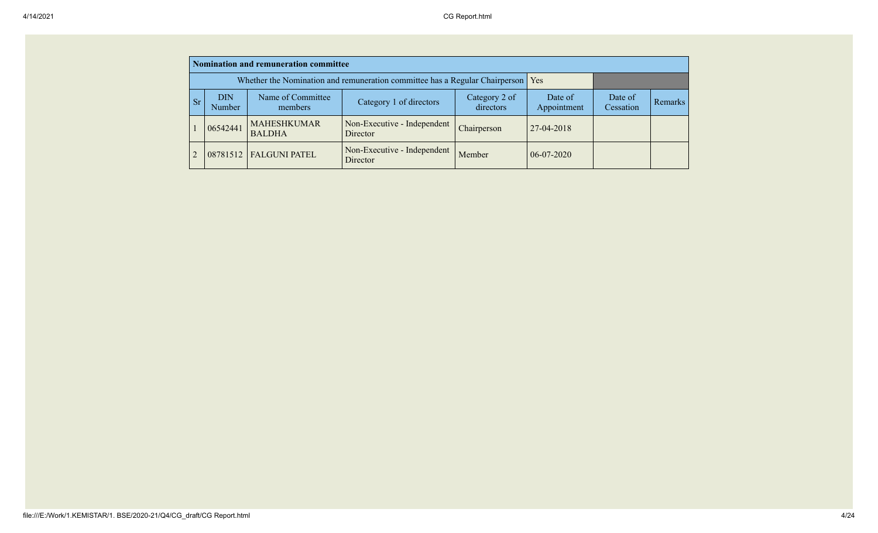|           | Nomination and remuneration committee |                                                                             |                                         |                            |                        |                      |         |  |  |  |
|-----------|---------------------------------------|-----------------------------------------------------------------------------|-----------------------------------------|----------------------------|------------------------|----------------------|---------|--|--|--|
|           |                                       | Whether the Nomination and remuneration committee has a Regular Chairperson | Yes                                     |                            |                        |                      |         |  |  |  |
| <b>Sr</b> | <b>DIN</b><br>Number                  | Name of Committee<br>members                                                | Category 1 of directors                 | Category 2 of<br>directors | Date of<br>Appointment | Date of<br>Cessation | Remarks |  |  |  |
|           | 06542441                              | <b>MAHESHKUMAR</b><br><b>BALDHA</b>                                         | Non-Executive - Independent<br>Director | Chairperson                | 27-04-2018             |                      |         |  |  |  |
|           | 08781512                              | <b>FALGUNI PATEL</b>                                                        | Non-Executive - Independent<br>Director | Member                     | $06-07-2020$           |                      |         |  |  |  |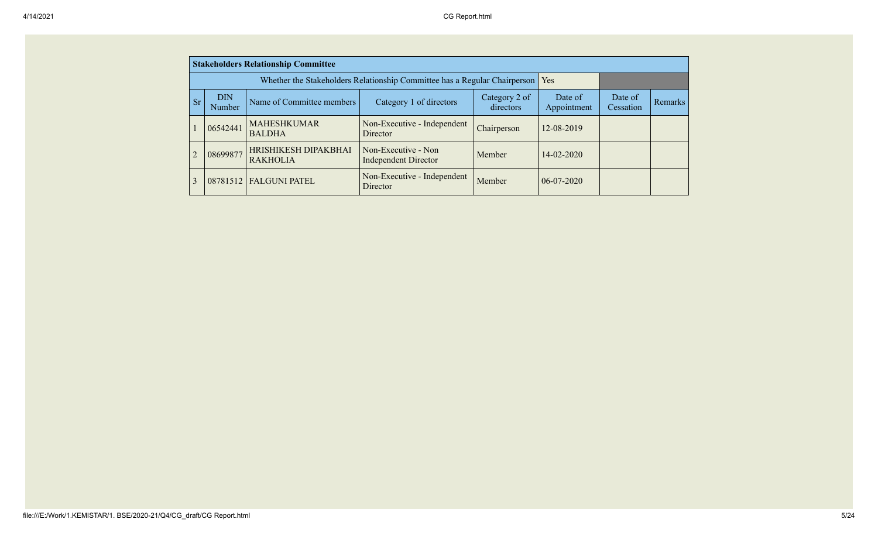|                | <b>Stakeholders Relationship Committee</b> |                                                                                 |                                                    |                            |                        |                      |         |  |  |  |  |
|----------------|--------------------------------------------|---------------------------------------------------------------------------------|----------------------------------------------------|----------------------------|------------------------|----------------------|---------|--|--|--|--|
|                |                                            | Whether the Stakeholders Relationship Committee has a Regular Chairperson   Yes |                                                    |                            |                        |                      |         |  |  |  |  |
| <b>Sr</b>      | DIN<br>Name of Committee members<br>Number |                                                                                 | Category 1 of directors                            | Category 2 of<br>directors | Date of<br>Appointment | Date of<br>Cessation | Remarks |  |  |  |  |
|                | 06542441                                   | <b>MAHESHKUMAR</b><br><b>BALDHA</b>                                             | Non-Executive - Independent<br><b>Director</b>     | Chairperson                | 12-08-2019             |                      |         |  |  |  |  |
| $\overline{2}$ | 08699877                                   | HRISHIKESH DIPAKBHAI<br><b>RAKHOLIA</b>                                         | Non-Executive - Non<br><b>Independent Director</b> | Member                     | $14 - 02 - 2020$       |                      |         |  |  |  |  |
| 3              | 08781512                                   | <b>FALGUNI PATEL</b>                                                            | Non-Executive - Independent<br><b>Director</b>     | Member                     | $06-07-2020$           |                      |         |  |  |  |  |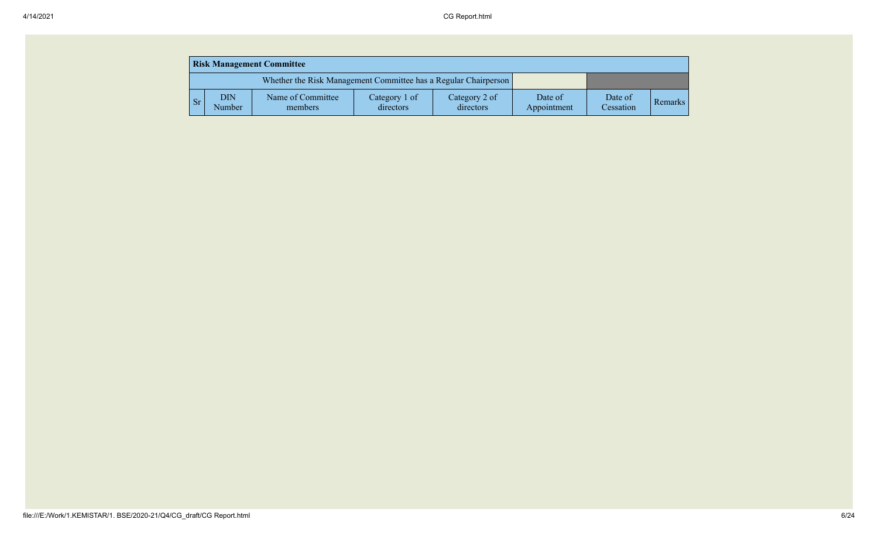|  |           | <b>Risk Management Committee</b> |                              |                            |                            |                        |                      |         |  |  |  |  |
|--|-----------|----------------------------------|------------------------------|----------------------------|----------------------------|------------------------|----------------------|---------|--|--|--|--|
|  |           |                                  |                              |                            |                            |                        |                      |         |  |  |  |  |
|  | <b>Sr</b> | DIN<br>Number                    | Name of Committee<br>members | Category 1 of<br>directors | Category 2 of<br>directors | Date of<br>Appointment | Date of<br>Cessation | Remarks |  |  |  |  |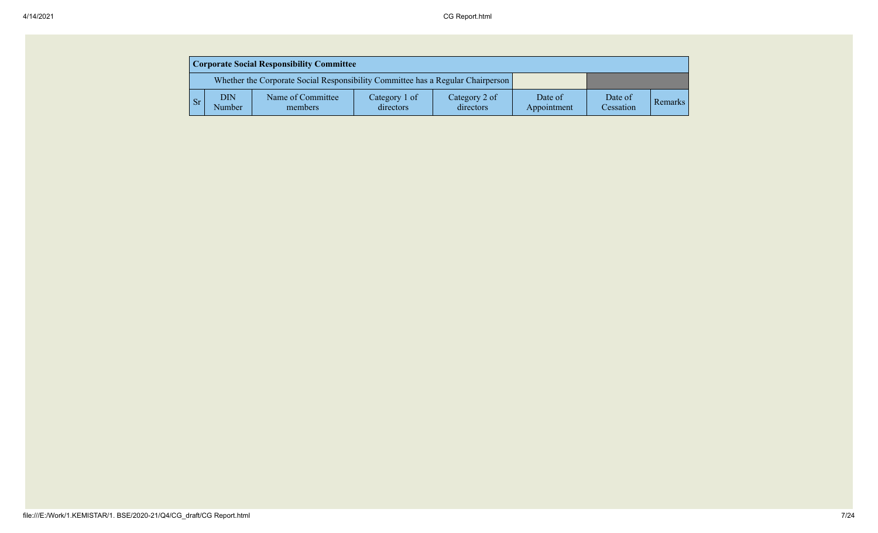| <b>Corporate Social Responsibility Committee</b> |               |                                                                                 |                            |                            |                        |                      |                |  |  |  |
|--------------------------------------------------|---------------|---------------------------------------------------------------------------------|----------------------------|----------------------------|------------------------|----------------------|----------------|--|--|--|
|                                                  |               | Whether the Corporate Social Responsibility Committee has a Regular Chairperson |                            |                            |                        |                      |                |  |  |  |
| Sr.                                              | DIN<br>Number | Name of Committee<br>members                                                    | Category 1 of<br>directors | Category 2 of<br>directors | Date of<br>Appointment | Date of<br>Cessation | <b>Remarks</b> |  |  |  |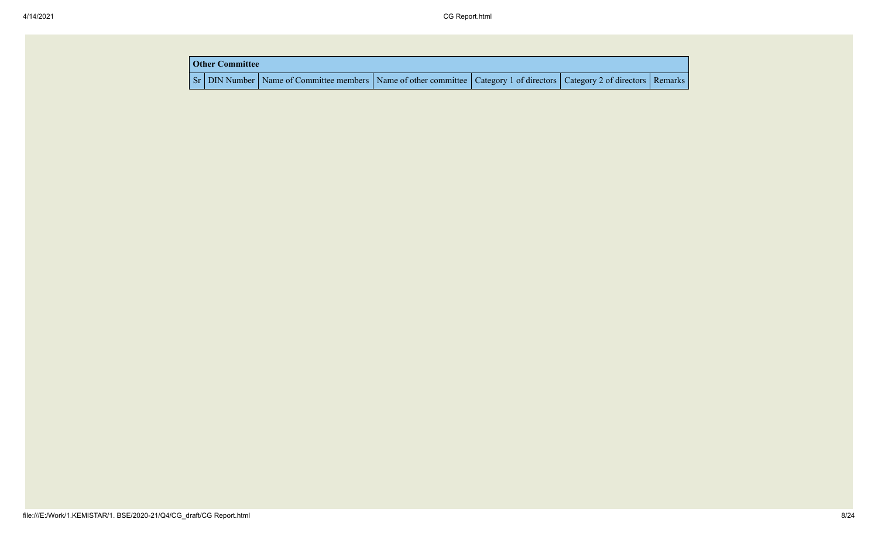| <b>Other Committee</b> |                                                                                                                                     |  |  |
|------------------------|-------------------------------------------------------------------------------------------------------------------------------------|--|--|
|                        | Sr   DIN Number   Name of Committee members   Name of other committee   Category 1 of directors   Category 2 of directors   Remarks |  |  |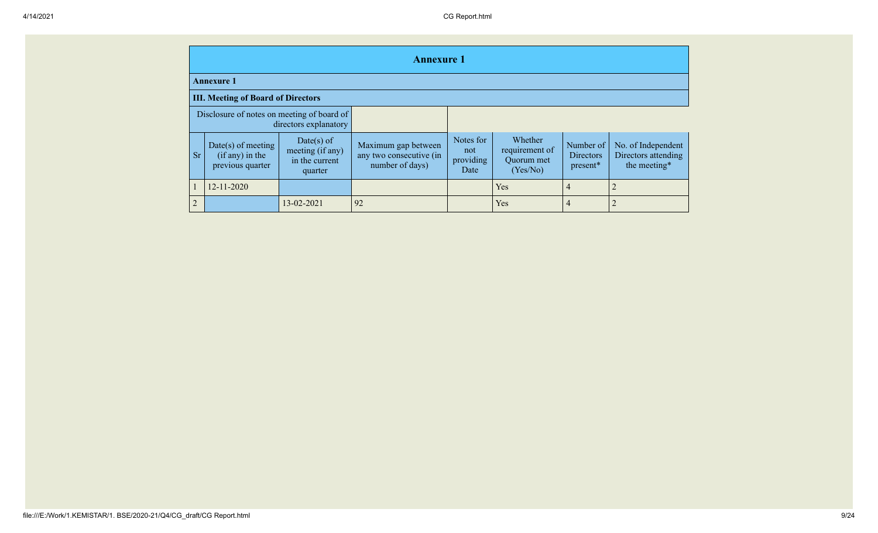|                | <b>Annexure 1</b>                                           |                                                             |                                                                   |                                       |                                                     |                                    |                                                           |  |  |  |  |  |
|----------------|-------------------------------------------------------------|-------------------------------------------------------------|-------------------------------------------------------------------|---------------------------------------|-----------------------------------------------------|------------------------------------|-----------------------------------------------------------|--|--|--|--|--|
|                | <b>Annexure 1</b>                                           |                                                             |                                                                   |                                       |                                                     |                                    |                                                           |  |  |  |  |  |
|                | <b>III. Meeting of Board of Directors</b>                   |                                                             |                                                                   |                                       |                                                     |                                    |                                                           |  |  |  |  |  |
|                | Disclosure of notes on meeting of board of                  | directors explanatory                                       |                                                                   |                                       |                                                     |                                    |                                                           |  |  |  |  |  |
| Sr             | Date(s) of meeting<br>$(if any)$ in the<br>previous quarter | Date(s) of<br>meeting (if any)<br>in the current<br>quarter | Maximum gap between<br>any two consecutive (in<br>number of days) | Notes for<br>not<br>providing<br>Date | Whether<br>requirement of<br>Quorum met<br>(Yes/No) | Number of<br>Directors<br>present* | No. of Independent<br>Directors attending<br>the meeting* |  |  |  |  |  |
|                | $12 - 11 - 2020$                                            |                                                             |                                                                   |                                       | Yes                                                 | 4                                  |                                                           |  |  |  |  |  |
| $\overline{2}$ |                                                             | 13-02-2021                                                  | 92                                                                |                                       | Yes                                                 | 4                                  |                                                           |  |  |  |  |  |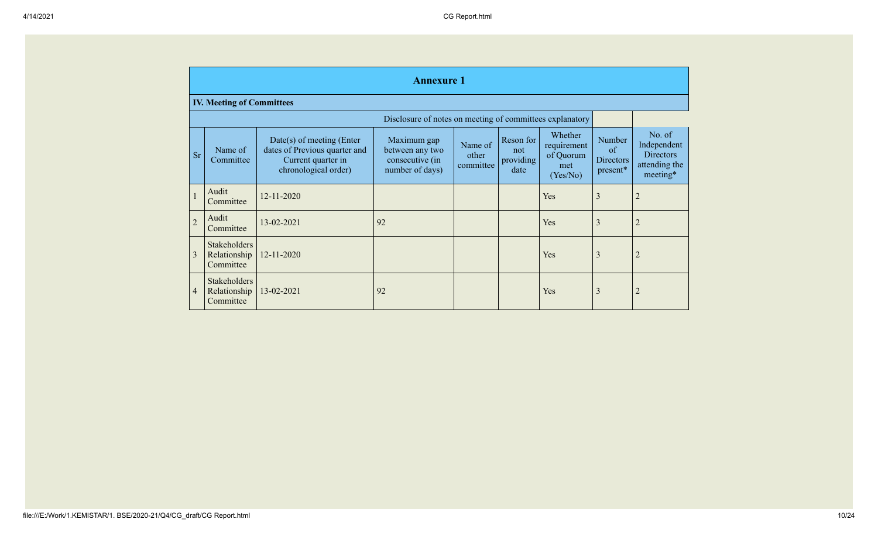|                | <b>Annexure 1</b>                                        |                                                                                                          |                                                                      |                               |                                       |                                                        |                                              |                                                                        |  |  |  |
|----------------|----------------------------------------------------------|----------------------------------------------------------------------------------------------------------|----------------------------------------------------------------------|-------------------------------|---------------------------------------|--------------------------------------------------------|----------------------------------------------|------------------------------------------------------------------------|--|--|--|
|                | <b>IV. Meeting of Committees</b>                         |                                                                                                          |                                                                      |                               |                                       |                                                        |                                              |                                                                        |  |  |  |
|                | Disclosure of notes on meeting of committees explanatory |                                                                                                          |                                                                      |                               |                                       |                                                        |                                              |                                                                        |  |  |  |
| <b>Sr</b>      | Name of<br>Committee                                     | Date(s) of meeting (Enter<br>dates of Previous quarter and<br>Current quarter in<br>chronological order) | Maximum gap<br>between any two<br>consecutive (in<br>number of days) | Name of<br>other<br>committee | Reson for<br>not<br>providing<br>date | Whether<br>requirement<br>of Quorum<br>met<br>(Yes/No) | Number<br>of<br><b>Directors</b><br>present* | No. of<br>Independent<br><b>Directors</b><br>attending the<br>meeting* |  |  |  |
|                | Audit<br>Committee                                       | $12 - 11 - 2020$                                                                                         |                                                                      |                               |                                       | Yes                                                    | 3                                            | $\overline{2}$                                                         |  |  |  |
| $\overline{2}$ | Audit<br>Committee                                       | 13-02-2021                                                                                               | 92                                                                   |                               |                                       | Yes                                                    | 3                                            | $\overline{2}$                                                         |  |  |  |
| 3              | Stakeholders<br>Relationship<br>Committee                | 12-11-2020                                                                                               |                                                                      |                               |                                       | Yes                                                    | 3                                            | $\overline{2}$                                                         |  |  |  |
| 4              | <b>Stakeholders</b><br>Relationship<br>Committee         | 13-02-2021                                                                                               | 92                                                                   |                               |                                       | Yes                                                    | 3                                            | $\overline{2}$                                                         |  |  |  |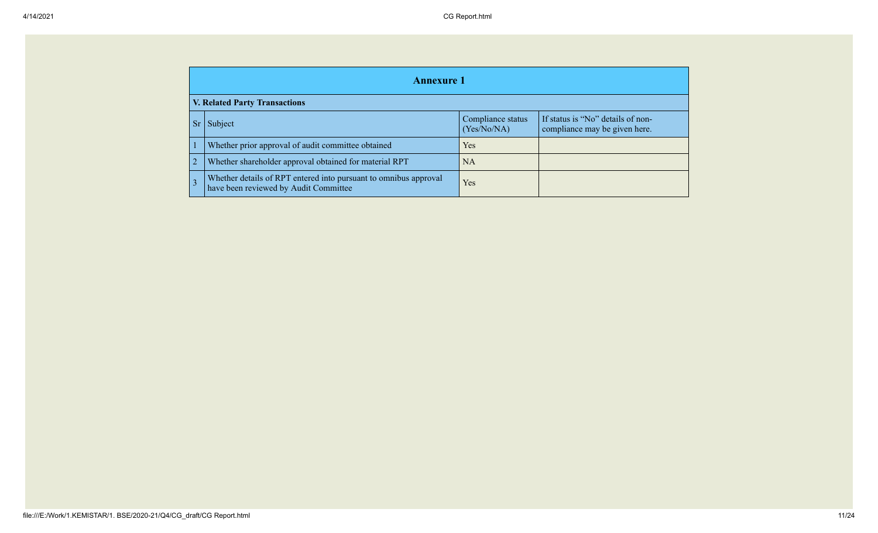| <b>Annexure 1</b>                                                                                         |                                                                    |  |  |  |  |  |  |  |
|-----------------------------------------------------------------------------------------------------------|--------------------------------------------------------------------|--|--|--|--|--|--|--|
| <b>V. Related Party Transactions</b>                                                                      |                                                                    |  |  |  |  |  |  |  |
| Subject                                                                                                   | If status is "No" details of non-<br>compliance may be given here. |  |  |  |  |  |  |  |
| Whether prior approval of audit committee obtained                                                        | Yes                                                                |  |  |  |  |  |  |  |
| Whether shareholder approval obtained for material RPT                                                    | <b>NA</b>                                                          |  |  |  |  |  |  |  |
| Whether details of RPT entered into pursuant to omnibus approval<br>have been reviewed by Audit Committee | Yes                                                                |  |  |  |  |  |  |  |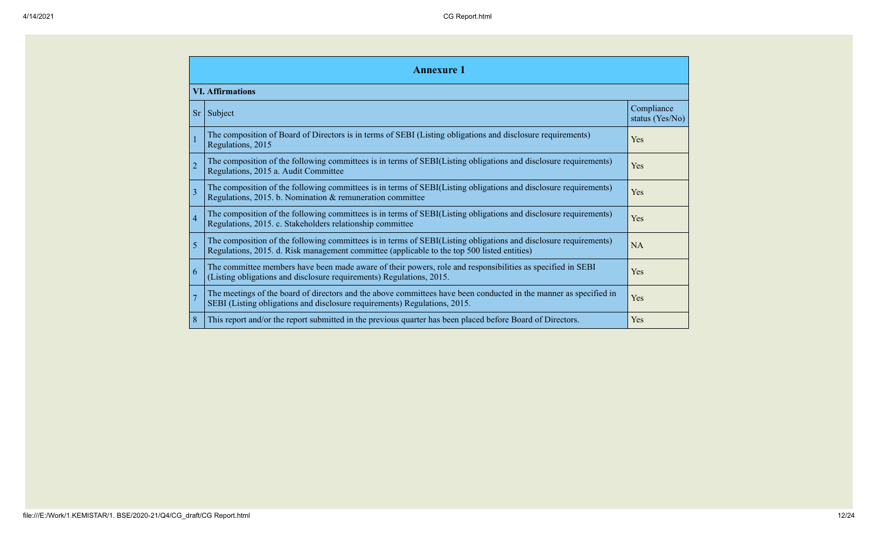|                | <b>Annexure 1</b>                                                                                                                                                                                               |                               |  |  |  |  |  |  |  |  |
|----------------|-----------------------------------------------------------------------------------------------------------------------------------------------------------------------------------------------------------------|-------------------------------|--|--|--|--|--|--|--|--|
|                | <b>VI.</b> Affirmations                                                                                                                                                                                         |                               |  |  |  |  |  |  |  |  |
| <sub>Sr</sub>  | Subject                                                                                                                                                                                                         | Compliance<br>status (Yes/No) |  |  |  |  |  |  |  |  |
|                | The composition of Board of Directors is in terms of SEBI (Listing obligations and disclosure requirements)<br>Regulations, 2015                                                                                | Yes                           |  |  |  |  |  |  |  |  |
| $\overline{2}$ | The composition of the following committees is in terms of SEBI(Listing obligations and disclosure requirements)<br>Regulations, 2015 a. Audit Committee                                                        | Yes                           |  |  |  |  |  |  |  |  |
| $\mathbf{3}$   | The composition of the following committees is in terms of SEBI(Listing obligations and disclosure requirements)<br>Regulations, 2015. b. Nomination & remuneration committee                                   | Yes                           |  |  |  |  |  |  |  |  |
| 4              | The composition of the following committees is in terms of SEBI(Listing obligations and disclosure requirements)<br>Regulations, 2015. c. Stakeholders relationship committee                                   | Yes                           |  |  |  |  |  |  |  |  |
| 5              | The composition of the following committees is in terms of SEBI(Listing obligations and disclosure requirements)<br>Regulations, 2015. d. Risk management committee (applicable to the top 500 listed entities) | <b>NA</b>                     |  |  |  |  |  |  |  |  |
| 6              | The committee members have been made aware of their powers, role and responsibilities as specified in SEBI<br>Yes<br>(Listing obligations and disclosure requirements) Regulations, 2015.                       |                               |  |  |  |  |  |  |  |  |
|                | The meetings of the board of directors and the above committees have been conducted in the manner as specified in<br>SEBI (Listing obligations and disclosure requirements) Regulations, 2015.                  | Yes                           |  |  |  |  |  |  |  |  |
| 8              | This report and/or the report submitted in the previous quarter has been placed before Board of Directors.                                                                                                      | Yes                           |  |  |  |  |  |  |  |  |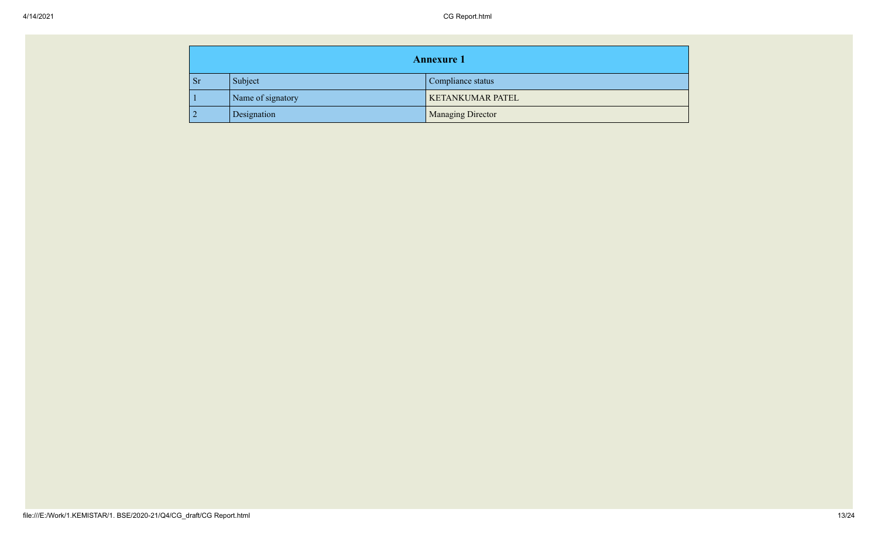| <b>Annexure 1</b> |           |                   |                          |
|-------------------|-----------|-------------------|--------------------------|
|                   | <b>Sr</b> | Subject           | Compliance status        |
|                   |           | Name of signatory | <b>KETANKUMAR PATEL</b>  |
|                   |           | Designation       | <b>Managing Director</b> |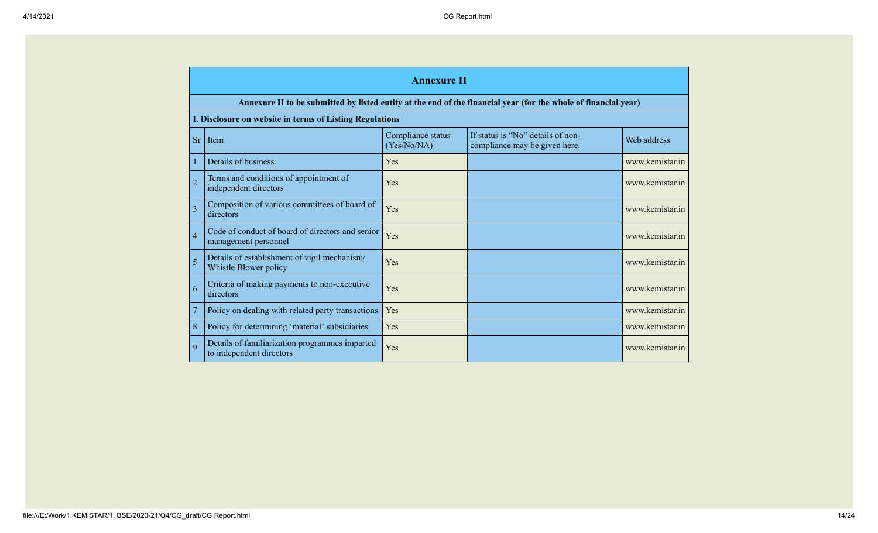|                | <b>Annexure II</b>                                                         |                                  |                                                                                                                 |                 |  |
|----------------|----------------------------------------------------------------------------|----------------------------------|-----------------------------------------------------------------------------------------------------------------|-----------------|--|
|                |                                                                            |                                  | Annexure II to be submitted by listed entity at the end of the financial year (for the whole of financial year) |                 |  |
|                | I. Disclosure on website in terms of Listing Regulations                   |                                  |                                                                                                                 |                 |  |
| <b>Sr</b>      | Item                                                                       | Compliance status<br>(Yes/No/NA) | If status is "No" details of non-<br>compliance may be given here.                                              | Web address     |  |
| $\mathbf{1}$   | Details of business                                                        | Yes                              |                                                                                                                 | www.kemistar.in |  |
| $\overline{2}$ | Terms and conditions of appointment of<br>independent directors            | Yes                              |                                                                                                                 | www.kemistar.in |  |
| $\overline{3}$ | Composition of various committees of board of<br>directors                 | Yes                              |                                                                                                                 | www.kemistar.in |  |
| $\overline{4}$ | Code of conduct of board of directors and senior<br>management personnel   | Yes                              |                                                                                                                 | www.kemistar.in |  |
| 5              | Details of establishment of vigil mechanism/<br>Whistle Blower policy      | Yes                              |                                                                                                                 | www.kemistar.in |  |
| 6              | Criteria of making payments to non-executive<br>directors                  | Yes                              |                                                                                                                 | www.kemistar.in |  |
| $\overline{7}$ | Policy on dealing with related party transactions                          | Yes                              |                                                                                                                 | www.kemistar.in |  |
| 8              | Policy for determining 'material' subsidiaries                             | Yes                              |                                                                                                                 | www.kemistar.in |  |
| $\mathbf Q$    | Details of familiarization programmes imparted<br>to independent directors | Yes                              |                                                                                                                 | www.kemistar.in |  |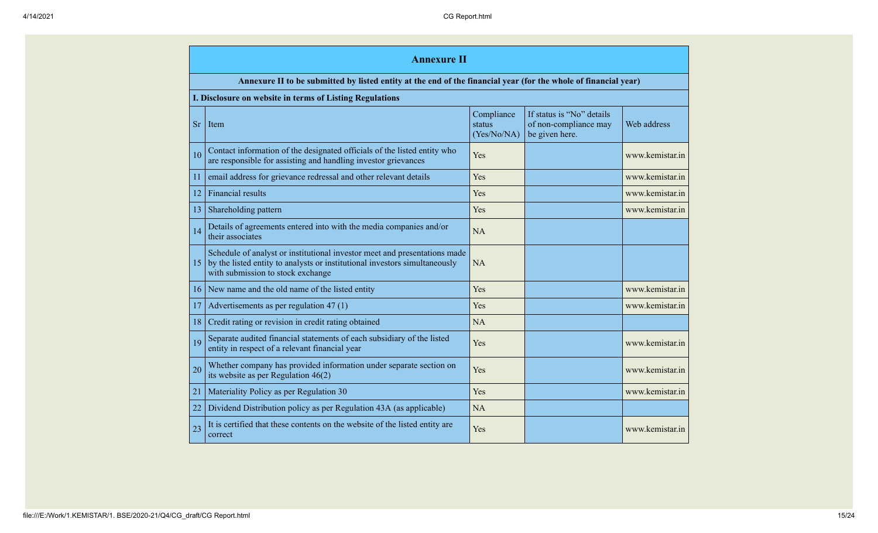|           | <b>Annexure II</b>                                                                                                                                                                           |                                     |                                                                      |                 |
|-----------|----------------------------------------------------------------------------------------------------------------------------------------------------------------------------------------------|-------------------------------------|----------------------------------------------------------------------|-----------------|
|           | Annexure II to be submitted by listed entity at the end of the financial year (for the whole of financial year)                                                                              |                                     |                                                                      |                 |
|           | I. Disclosure on website in terms of Listing Regulations                                                                                                                                     |                                     |                                                                      |                 |
| <b>Sr</b> | Item                                                                                                                                                                                         | Compliance<br>status<br>(Yes/No/NA) | If status is "No" details<br>of non-compliance may<br>be given here. | Web address     |
| 10        | Contact information of the designated officials of the listed entity who<br>are responsible for assisting and handling investor grievances                                                   | Yes                                 |                                                                      | www.kemistar.in |
| 11        | email address for grievance redressal and other relevant details                                                                                                                             | Yes                                 |                                                                      | www.kemistar.in |
| 12        | <b>Financial results</b>                                                                                                                                                                     | Yes                                 |                                                                      | www.kemistar.in |
| 13        | Shareholding pattern                                                                                                                                                                         | Yes                                 |                                                                      | www.kemistar.in |
| 14        | Details of agreements entered into with the media companies and/or<br>their associates                                                                                                       | NA                                  |                                                                      |                 |
| 15        | Schedule of analyst or institutional investor meet and presentations made<br>by the listed entity to analysts or institutional investors simultaneously<br>with submission to stock exchange | <b>NA</b>                           |                                                                      |                 |
| 16        | New name and the old name of the listed entity                                                                                                                                               | Yes                                 |                                                                      | www.kemistar.in |
| 17        | Advertisements as per regulation 47 (1)                                                                                                                                                      | Yes                                 |                                                                      | www.kemistar.in |
| 18        | Credit rating or revision in credit rating obtained                                                                                                                                          | NA                                  |                                                                      |                 |
| 19        | Separate audited financial statements of each subsidiary of the listed<br>entity in respect of a relevant financial year                                                                     | Yes                                 |                                                                      | www.kemistar.in |
| 20        | Whether company has provided information under separate section on<br>its website as per Regulation $46(2)$                                                                                  | Yes                                 |                                                                      | www.kemistar.in |
| 21        | Materiality Policy as per Regulation 30                                                                                                                                                      | Yes                                 |                                                                      | www.kemistar.in |
| 22        | Dividend Distribution policy as per Regulation 43A (as applicable)                                                                                                                           | NA                                  |                                                                      |                 |
| 23        | It is certified that these contents on the website of the listed entity are<br>correct                                                                                                       | Yes                                 |                                                                      | www.kemistar.in |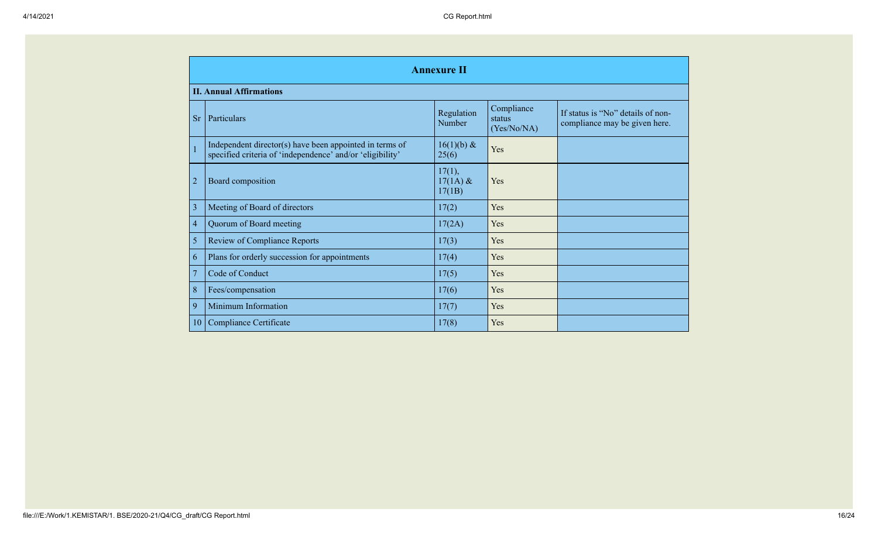|                | <b>Annexure II</b>                                                                                                   |                                |                                     |                                                                    |
|----------------|----------------------------------------------------------------------------------------------------------------------|--------------------------------|-------------------------------------|--------------------------------------------------------------------|
|                | <b>II. Annual Affirmations</b>                                                                                       |                                |                                     |                                                                    |
| <b>Sr</b>      | Particulars                                                                                                          | Regulation<br>Number           | Compliance<br>status<br>(Yes/No/NA) | If status is "No" details of non-<br>compliance may be given here. |
|                | Independent director(s) have been appointed in terms of<br>specified criteria of 'independence' and/or 'eligibility' | $16(1)(b)$ &<br>25(6)          | Yes                                 |                                                                    |
| $\overline{2}$ | Board composition                                                                                                    | 17(1),<br>$17(1A)$ &<br>17(1B) | Yes                                 |                                                                    |
| 3              | Meeting of Board of directors                                                                                        | 17(2)                          | Yes                                 |                                                                    |
| $\overline{4}$ | Quorum of Board meeting                                                                                              | 17(2A)                         | Yes                                 |                                                                    |
| 5              | <b>Review of Compliance Reports</b>                                                                                  | 17(3)                          | Yes                                 |                                                                    |
| 6              | Plans for orderly succession for appointments                                                                        | 17(4)                          | Yes                                 |                                                                    |
| $\overline{7}$ | Code of Conduct                                                                                                      | 17(5)                          | Yes                                 |                                                                    |
| 8              | Fees/compensation                                                                                                    | 17(6)                          | Yes                                 |                                                                    |
| 9              | Minimum Information                                                                                                  | 17(7)                          | Yes                                 |                                                                    |
| 10             | <b>Compliance Certificate</b>                                                                                        | 17(8)                          | Yes                                 |                                                                    |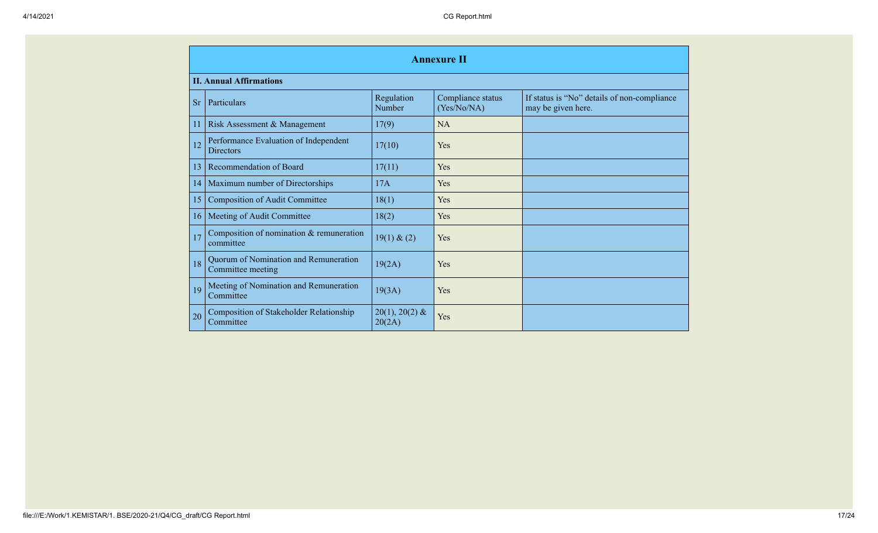|           | <b>Annexure II</b>                                          |                            |                                  |                                                                   |
|-----------|-------------------------------------------------------------|----------------------------|----------------------------------|-------------------------------------------------------------------|
|           | <b>II. Annual Affirmations</b>                              |                            |                                  |                                                                   |
| <b>Sr</b> | Particulars                                                 | Regulation<br>Number       | Compliance status<br>(Yes/No/NA) | If status is "No" details of non-compliance<br>may be given here. |
| 11        | Risk Assessment & Management                                | 17(9)                      | NA                               |                                                                   |
| 12        | Performance Evaluation of Independent<br><b>Directors</b>   | 17(10)                     | Yes                              |                                                                   |
| 13        | Recommendation of Board                                     | 17(11)                     | <b>Yes</b>                       |                                                                   |
| 14        | Maximum number of Directorships                             | 17A                        | <b>Yes</b>                       |                                                                   |
| 15        | <b>Composition of Audit Committee</b>                       | 18(1)                      | Yes                              |                                                                   |
| 16        | Meeting of Audit Committee                                  | 18(2)                      | Yes                              |                                                                   |
| 17        | Composition of nomination & remuneration<br>committee       | 19(1) & (2)                | Yes                              |                                                                   |
| 18        | Quorum of Nomination and Remuneration<br>Committee meeting  | 19(2A)                     | Yes                              |                                                                   |
| 19        | Meeting of Nomination and Remuneration<br>Committee         | 19(3A)                     | Yes                              |                                                                   |
| 20        | <b>Composition of Stakeholder Relationship</b><br>Committee | $20(1), 20(2)$ &<br>20(2A) | Yes                              |                                                                   |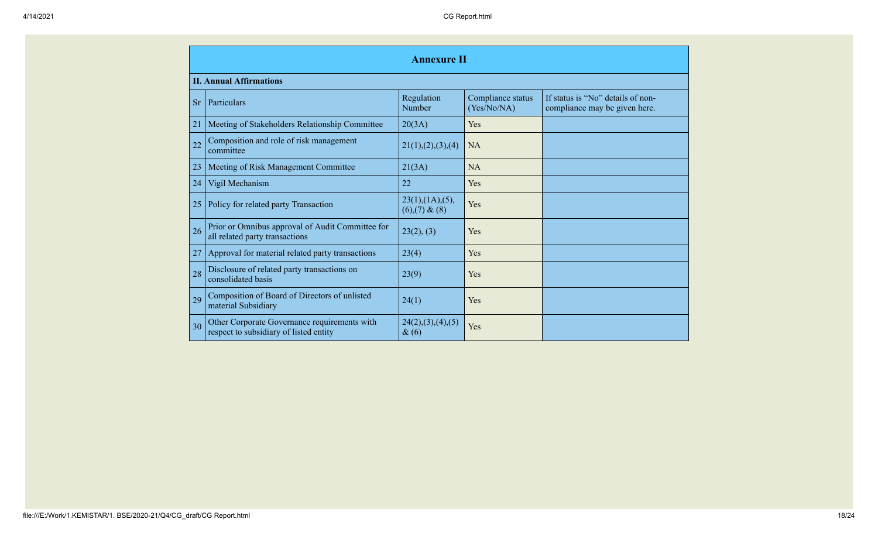|           | <b>Annexure II</b>                                                                     |                                 |                                  |                                                                    |  |
|-----------|----------------------------------------------------------------------------------------|---------------------------------|----------------------------------|--------------------------------------------------------------------|--|
|           | <b>II. Annual Affirmations</b>                                                         |                                 |                                  |                                                                    |  |
| <b>Sr</b> | Particulars                                                                            | Regulation<br>Number            | Compliance status<br>(Yes/No/NA) | If status is "No" details of non-<br>compliance may be given here. |  |
| 21        | Meeting of Stakeholders Relationship Committee                                         | 20(3A)                          | Yes                              |                                                                    |  |
| 22        | Composition and role of risk management<br>committee                                   | 21(1), (2), (3), (4)            | <b>NA</b>                        |                                                                    |  |
| 23        | Meeting of Risk Management Committee                                                   | 21(3A)                          | <b>NA</b>                        |                                                                    |  |
| 24        | Vigil Mechanism                                                                        | 22                              | Yes                              |                                                                    |  |
| 25        | Policy for related party Transaction                                                   | 23(1),(1A),(5),<br>(6)(7) & (8) | Yes                              |                                                                    |  |
| 26        | Prior or Omnibus approval of Audit Committee for<br>all related party transactions     | 23(2), (3)                      | Yes                              |                                                                    |  |
| 27        | Approval for material related party transactions                                       | 23(4)                           | Yes                              |                                                                    |  |
| 28        | Disclosure of related party transactions on<br>consolidated basis                      | 23(9)                           | Yes                              |                                                                    |  |
| 29        | Composition of Board of Directors of unlisted<br>material Subsidiary                   | 24(1)                           | Yes                              |                                                                    |  |
| 30        | Other Corporate Governance requirements with<br>respect to subsidiary of listed entity | 24(2), (3), (4), (5)<br>$\&(6)$ | Yes                              |                                                                    |  |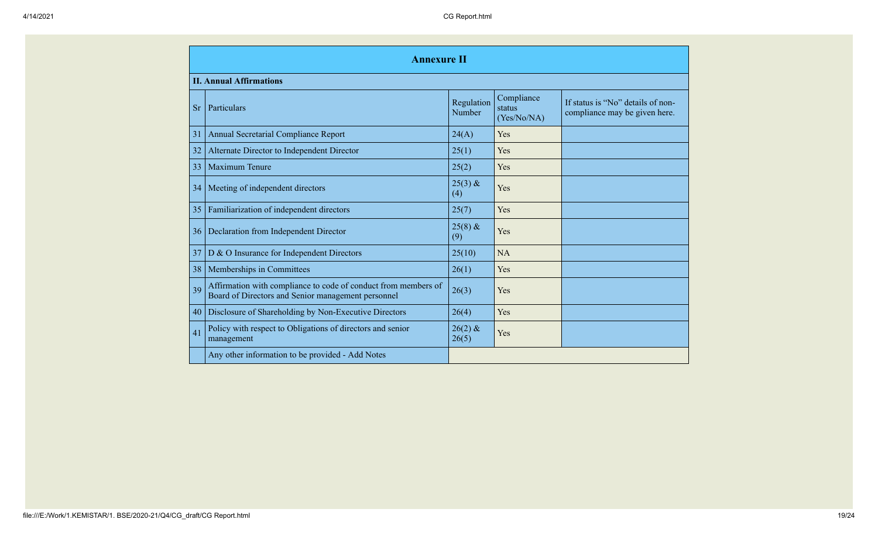|           | <b>Annexure II</b>                                                                                                   |                      |                                     |                                                                    |
|-----------|----------------------------------------------------------------------------------------------------------------------|----------------------|-------------------------------------|--------------------------------------------------------------------|
|           | <b>II. Annual Affirmations</b>                                                                                       |                      |                                     |                                                                    |
| <b>Sr</b> | Particulars                                                                                                          | Regulation<br>Number | Compliance<br>status<br>(Yes/No/NA) | If status is "No" details of non-<br>compliance may be given here. |
| 31        | Annual Secretarial Compliance Report                                                                                 | 24(A)                | Yes                                 |                                                                    |
| 32        | Alternate Director to Independent Director                                                                           | 25(1)                | Yes                                 |                                                                    |
| 33        | Maximum Tenure                                                                                                       | 25(2)                | Yes                                 |                                                                    |
| 34        | Meeting of independent directors                                                                                     | $25(3)$ &<br>(4)     | Yes                                 |                                                                    |
| 35        | Familiarization of independent directors                                                                             | 25(7)                | Yes                                 |                                                                    |
| 36        | Declaration from Independent Director                                                                                | $25(8)$ &<br>(9)     | Yes                                 |                                                                    |
| 37        | D & O Insurance for Independent Directors                                                                            | 25(10)               | <b>NA</b>                           |                                                                    |
| 38        | Memberships in Committees                                                                                            | 26(1)                | Yes                                 |                                                                    |
| 39        | Affirmation with compliance to code of conduct from members of<br>Board of Directors and Senior management personnel | 26(3)                | Yes                                 |                                                                    |
| 40        | Disclosure of Shareholding by Non-Executive Directors                                                                | 26(4)                | Yes                                 |                                                                    |
| 41        | Policy with respect to Obligations of directors and senior<br>management                                             | $26(2)$ &<br>26(5)   | Yes                                 |                                                                    |
|           | Any other information to be provided - Add Notes                                                                     |                      |                                     |                                                                    |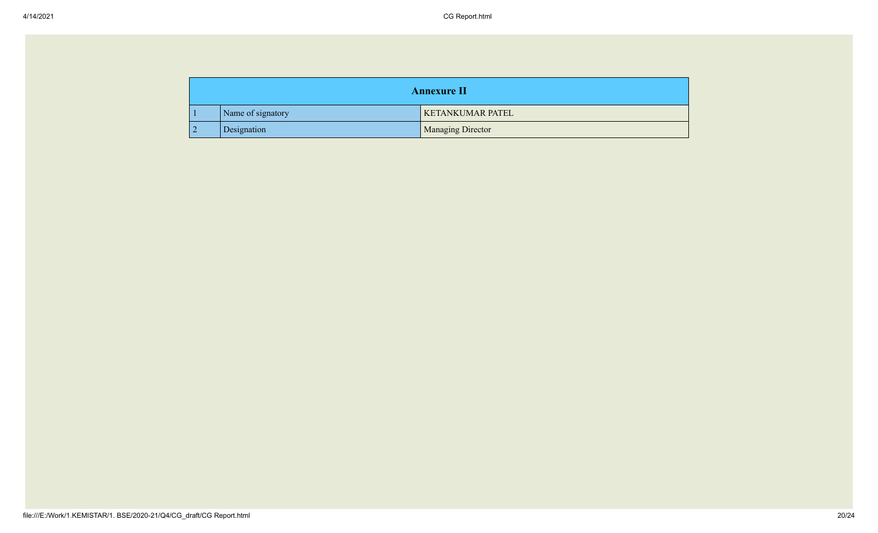| <b>Annexure II</b> |                   |                          |
|--------------------|-------------------|--------------------------|
|                    | Name of signatory | <b>KETANKUMAR PATEL</b>  |
|                    | Designation       | <b>Managing Director</b> |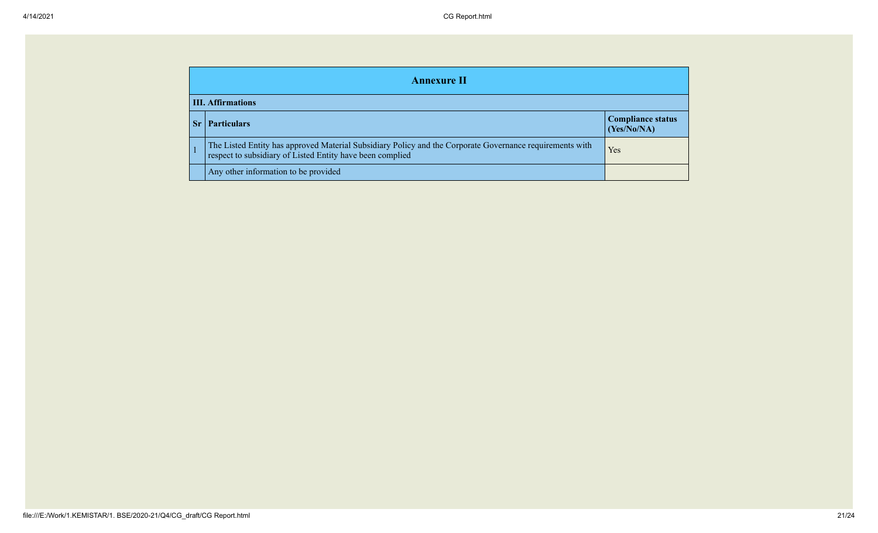|  | <b>Annexure II</b>                                                                                                                                                    |     |  |  |
|--|-----------------------------------------------------------------------------------------------------------------------------------------------------------------------|-----|--|--|
|  | <b>III.</b> Affirmations                                                                                                                                              |     |  |  |
|  | <b>Compliance status</b><br><b>Particulars</b><br>(Yes/No/NA)                                                                                                         |     |  |  |
|  | The Listed Entity has approved Material Subsidiary Policy and the Corporate Governance requirements with<br>respect to subsidiary of Listed Entity have been complied | Yes |  |  |
|  | Any other information to be provided                                                                                                                                  |     |  |  |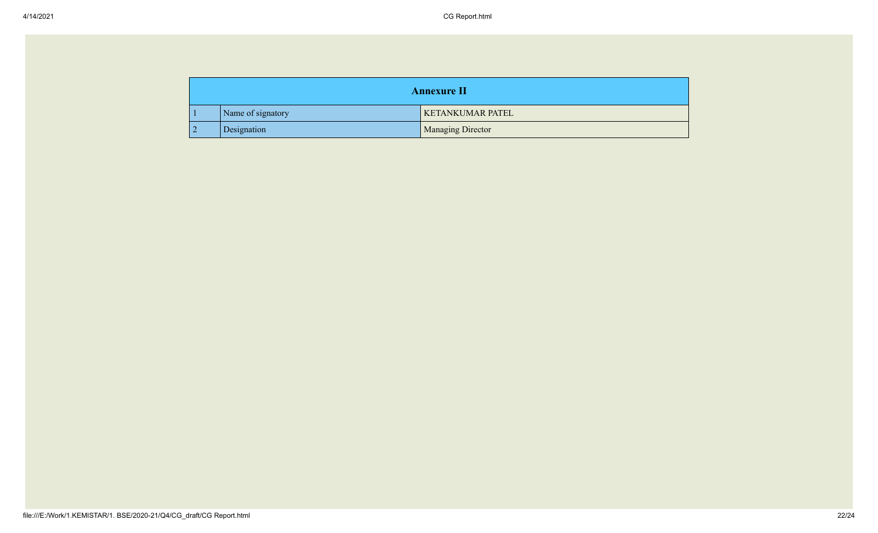| <b>Annexure II</b> |                   |                          |
|--------------------|-------------------|--------------------------|
|                    | Name of signatory | <b>KETANKUMAR PATEL</b>  |
|                    | Designation       | <b>Managing Director</b> |